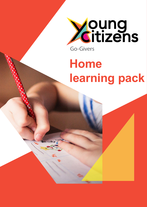

# **Home learning pack**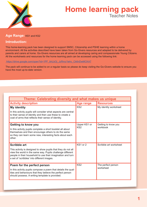

#### **Age Range:** KS1 and KS2

#### **Introduction:**

This home-learning pack has been designed to support SMSC, Citizenship and PSHE learning within a home environment. All the activities described have been taken from Go-Givers resources and adapted to be delivered by parents and carers at home. Go-Givers resources are all aimed at developing caring and compassionate Young Citizens. All the worksheets and resources for the home learning pack can be accessed using the following link:

 [https://drive.google.com/open?id=1PF\\_bhLbOj\\_JzRmz1lehc\\_Ck](https://drive.google.com/open?id=1PF_bhLbOj_JzRmz1lehc_Ck6nDwMCKA7)6nDwMCKA7

The pack will continue to be added to on a regular basis so please do keep visiting the Go-Givers website to ensure you have the most up-to-date version.

| Theme: Celebrating diversity and what makes us unique                                                                                                                                                                                     |                                 |                                 |  |  |
|-------------------------------------------------------------------------------------------------------------------------------------------------------------------------------------------------------------------------------------------|---------------------------------|---------------------------------|--|--|
| <b>Activity description</b>                                                                                                                                                                                                               | <b>Age range</b>                | <b>Resources</b>                |  |  |
| <b>My identity</b>                                                                                                                                                                                                                        | KS <sub>2</sub>                 | My identity worksheet           |  |  |
| In this activity pupils will consider what aspects are central<br>to their sense of identity and then use these to create a<br>coat of arms that reflects their sense of identity.                                                        |                                 |                                 |  |  |
| Getting to know you                                                                                                                                                                                                                       | Upper KS1 or<br>KS <sub>2</sub> | Getting to know you<br>workbook |  |  |
| In this activity pupils complete a short booklet all about<br>themselves and then encourage others to do the same<br>so they can learn some new, interesting facts about each<br>other.                                                   |                                 |                                 |  |  |
| <b>Scribble art</b>                                                                                                                                                                                                                       | KS1 or 2                        | Scribble art worksheet          |  |  |
| This activity is designed to show pupils that they do not all<br>view the world in the same way. Pupils challenge different<br>people in their household to use their imagination and turn<br>a set of 'scribbles' into different images. |                                 |                                 |  |  |
| Poem for the perfect person                                                                                                                                                                                                               | KS <sub>2</sub>                 | The perfect person              |  |  |
| In this activity pupils compose a poem that details the qual-<br>ities and behaviours that they believe the perfect person<br>should possess. A writing template is provided.                                                             |                                 | worksheet                       |  |  |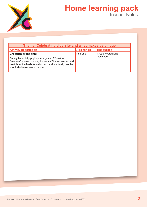

| Theme: Celebrating diversity and what makes us unique                                                                                                                                                                                         |                  |                                        |  |  |
|-----------------------------------------------------------------------------------------------------------------------------------------------------------------------------------------------------------------------------------------------|------------------|----------------------------------------|--|--|
| <b>Activity description</b>                                                                                                                                                                                                                   | <b>Age range</b> | <b>Resources</b>                       |  |  |
| <b>Creature creations:</b><br>During this activity pupils play a game of 'Creature<br>Creations', more commonly known as 'Consequences' and<br>use this as the basis for a discussion with a family member<br>about what makes us all unique. | KS1 or 2         | <b>Creature Creations</b><br>worksheet |  |  |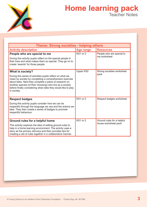

| <b>Theme: Strong societies - helping others</b>                                                                                                                                                                                                                                                                                                |                  |                                                    |  |  |
|------------------------------------------------------------------------------------------------------------------------------------------------------------------------------------------------------------------------------------------------------------------------------------------------------------------------------------------------|------------------|----------------------------------------------------|--|--|
| <b>Activity description</b>                                                                                                                                                                                                                                                                                                                    | <b>Age range</b> | <b>Resources</b>                                   |  |  |
| People who are special to me<br>During this activity pupils reflect on the special people in<br>their lives and what makes them so special. They go on to<br>create 'awards' for those people.                                                                                                                                                 | KS1 or 2         | People who are special to<br>me worksheet          |  |  |
| What is society?<br>During this series of activities pupils reflect on what we<br>mean by society by completing a comprehension exercise<br>about bees. Next they complete a piece of research on<br>another species (of their choosing) who live as a society<br>before finally considering what roles they would like to play<br>in society. | Upper KS2        | Strong societies worksheet<br>pack                 |  |  |
| <b>Respect badges</b><br>During this activity pupils consider how we can be<br>respectful through the language we use and the actions we<br>take. They then create a series of badges to promote<br>respectful behaviour.                                                                                                                      | KS1 or 2         | Respect badges worksheet                           |  |  |
| Ground rules for a helpful home<br>This activity explores the idea of setting ground-rules to<br>help in a home learning environment. The activity uses a<br>story as the primary stimulus and then provides tips for<br>creating a set of rules together in a collaborative manner.                                                           | KS1 or 2         | Ground rules for a helpful<br>house worksheet pack |  |  |